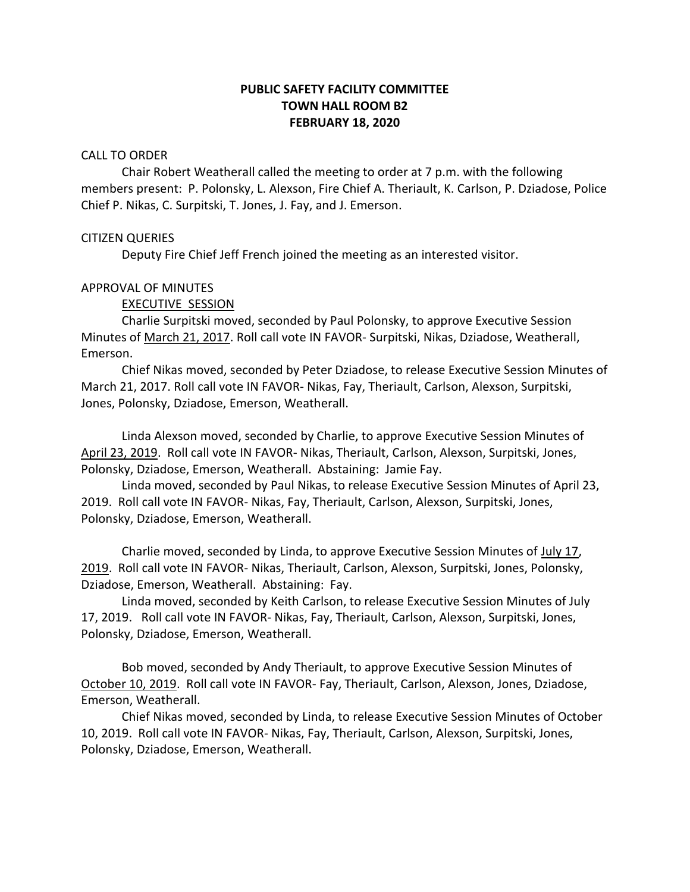# **PUBLIC SAFETY FACILITY COMMITTEE TOWN HALL ROOM B2 FEBRUARY 18, 2020**

#### CALL TO ORDER

Chair Robert Weatherall called the meeting to order at 7 p.m. with the following members present: P. Polonsky, L. Alexson, Fire Chief A. Theriault, K. Carlson, P. Dziadose, Police Chief P. Nikas, C. Surpitski, T. Jones, J. Fay, and J. Emerson.

# CITIZEN QUERIES

Deputy Fire Chief Jeff French joined the meeting as an interested visitor.

# APPROVAL OF MINUTES

EXECUTIVE SESSION

Charlie Surpitski moved, seconded by Paul Polonsky, to approve Executive Session Minutes of March 21, 2017. Roll call vote IN FAVOR- Surpitski, Nikas, Dziadose, Weatherall, Emerson.

Chief Nikas moved, seconded by Peter Dziadose, to release Executive Session Minutes of March 21, 2017. Roll call vote IN FAVOR- Nikas, Fay, Theriault, Carlson, Alexson, Surpitski, Jones, Polonsky, Dziadose, Emerson, Weatherall.

Linda Alexson moved, seconded by Charlie, to approve Executive Session Minutes of April 23, 2019. Roll call vote IN FAVOR- Nikas, Theriault, Carlson, Alexson, Surpitski, Jones, Polonsky, Dziadose, Emerson, Weatherall. Abstaining: Jamie Fay.

Linda moved, seconded by Paul Nikas, to release Executive Session Minutes of April 23, 2019. Roll call vote IN FAVOR- Nikas, Fay, Theriault, Carlson, Alexson, Surpitski, Jones, Polonsky, Dziadose, Emerson, Weatherall.

Charlie moved, seconded by Linda, to approve Executive Session Minutes of July 17, 2019. Roll call vote IN FAVOR- Nikas, Theriault, Carlson, Alexson, Surpitski, Jones, Polonsky, Dziadose, Emerson, Weatherall. Abstaining: Fay.

Linda moved, seconded by Keith Carlson, to release Executive Session Minutes of July 17, 2019. Roll call vote IN FAVOR- Nikas, Fay, Theriault, Carlson, Alexson, Surpitski, Jones, Polonsky, Dziadose, Emerson, Weatherall.

Bob moved, seconded by Andy Theriault, to approve Executive Session Minutes of October 10, 2019. Roll call vote IN FAVOR- Fay, Theriault, Carlson, Alexson, Jones, Dziadose, Emerson, Weatherall.

Chief Nikas moved, seconded by Linda, to release Executive Session Minutes of October 10, 2019. Roll call vote IN FAVOR- Nikas, Fay, Theriault, Carlson, Alexson, Surpitski, Jones, Polonsky, Dziadose, Emerson, Weatherall.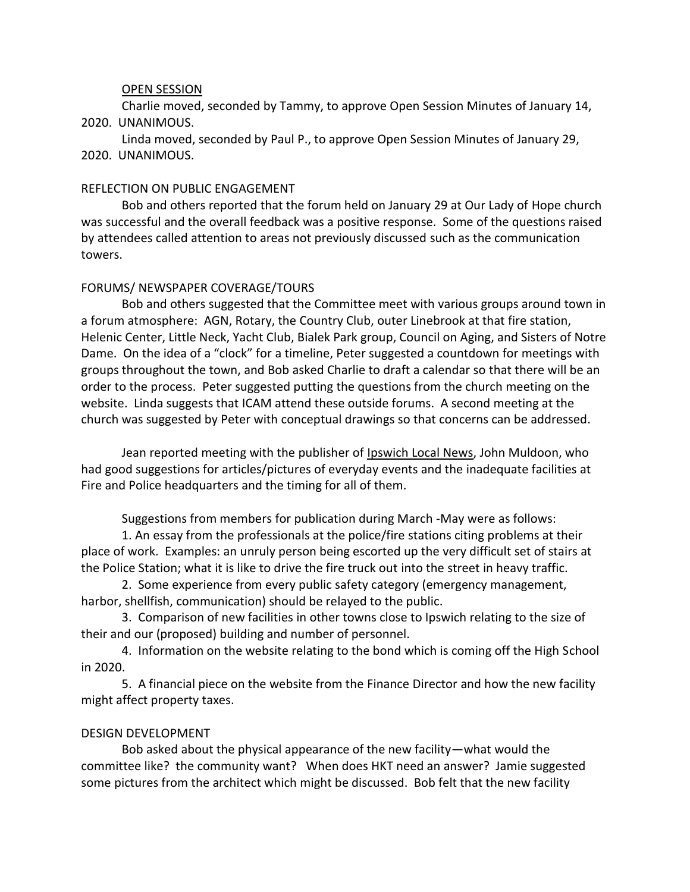# OPEN SESSION

Charlie moved, seconded by Tammy, to approve Open Session Minutes of January 14, 2020. UNANIMOUS.

Linda moved, seconded by Paul P., to approve Open Session Minutes of January 29, 2020. UNANIMOUS.

#### REFLECTION ON PUBLIC ENGAGEMENT

Bob and others reported that the forum held on January 29 at Our Lady of Hope church was successful and the overall feedback was a positive response. Some of the questions raised by attendees called attention to areas not previously discussed such as the communication towers.

# FORUMS/ NEWSPAPER COVERAGE/TOURS

Bob and others suggested that the Committee meet with various groups around town in a forum atmosphere: AGN, Rotary, the Country Club, outer Linebrook at that fire station, Helenic Center, Little Neck, Yacht Club, Bialek Park group, Council on Aging, and Sisters of Notre Dame. On the idea of a "clock" for a timeline, Peter suggested a countdown for meetings with groups throughout the town, and Bob asked Charlie to draft a calendar so that there will be an order to the process. Peter suggested putting the questions from the church meeting on the website. Linda suggests that ICAM attend these outside forums. A second meeting at the church was suggested by Peter with conceptual drawings so that concerns can be addressed.

Jean reported meeting with the publisher of Ipswich Local News, John Muldoon, who had good suggestions for articles/pictures of everyday events and the inadequate facilities at Fire and Police headquarters and the timing for all of them.

Suggestions from members for publication during March -May were as follows:

1. An essay from the professionals at the police/fire stations citing problems at their place of work. Examples: an unruly person being escorted up the very difficult set of stairs at the Police Station; what it is like to drive the fire truck out into the street in heavy traffic.

2. Some experience from every public safety category (emergency management, harbor, shellfish, communication) should be relayed to the public.

3. Comparison of new facilities in other towns close to Ipswich relating to the size of their and our (proposed) building and number of personnel.

4. Information on the website relating to the bond which is coming off the High School in 2020.

5. A financial piece on the website from the Finance Director and how the new facility might affect property taxes.

#### DESIGN DEVELOPMENT

Bob asked about the physical appearance of the new facility—what would the committee like? the community want? When does HKT need an answer? Jamie suggested some pictures from the architect which might be discussed. Bob felt that the new facility